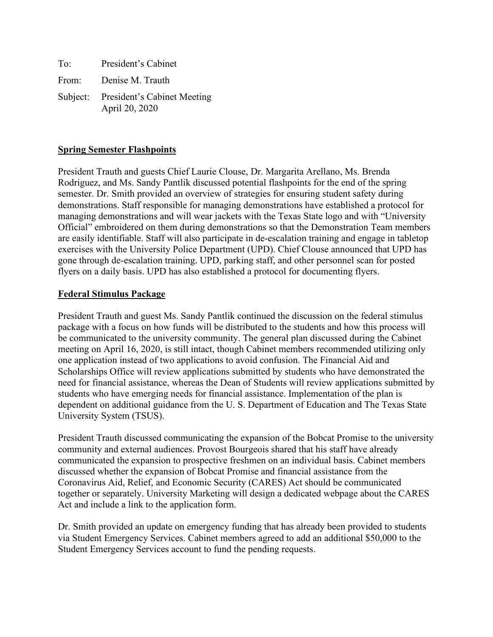| To: | President's Cabinet                                    |
|-----|--------------------------------------------------------|
|     | From: Denise M. Trauth                                 |
|     | Subject: President's Cabinet Meeting<br>April 20, 2020 |

#### **Spring Semester Flashpoints**

President Trauth and guests Chief Laurie Clouse, Dr. Margarita Arellano, Ms. Brenda Rodriguez, and Ms. Sandy Pantlik discussed potential flashpoints for the end of the spring semester. Dr. Smith provided an overview of strategies for ensuring student safety during demonstrations. Staff responsible for managing demonstrations have established a protocol for managing demonstrations and will wear jackets with the Texas State logo and with "University Official" embroidered on them during demonstrations so that the Demonstration Team members are easily identifiable. Staff will also participate in de-escalation training and engage in tabletop exercises with the University Police Department (UPD). Chief Clouse announced that UPD has gone through de-escalation training. UPD, parking staff, and other personnel scan for posted flyers on a daily basis. UPD has also established a protocol for documenting flyers.

#### **Federal Stimulus Package**

President Trauth and guest Ms. Sandy Pantlik continued the discussion on the federal stimulus package with a focus on how funds will be distributed to the students and how this process will be communicated to the university community. The general plan discussed during the Cabinet meeting on April 16, 2020, is still intact, though Cabinet members recommended utilizing only one application instead of two applications to avoid confusion. The Financial Aid and Scholarships Office will review applications submitted by students who have demonstrated the need for financial assistance, whereas the Dean of Students will review applications submitted by students who have emerging needs for financial assistance. Implementation of the plan is dependent on additional guidance from the U. S. Department of Education and The Texas State University System (TSUS).

President Trauth discussed communicating the expansion of the Bobcat Promise to the university community and external audiences. Provost Bourgeois shared that his staff have already communicated the expansion to prospective freshmen on an individual basis. Cabinet members discussed whether the expansion of Bobcat Promise and financial assistance from the Coronavirus Aid, Relief, and Economic Security (CARES) Act should be communicated together or separately. University Marketing will design a dedicated webpage about the CARES Act and include a link to the application form.

Dr. Smith provided an update on emergency funding that has already been provided to students via Student Emergency Services. Cabinet members agreed to add an additional \$50,000 to the Student Emergency Services account to fund the pending requests.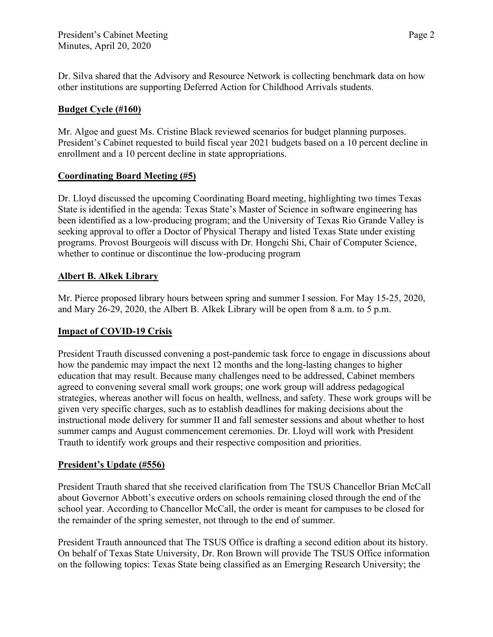Dr. Silva shared that the Advisory and Resource Network is collecting benchmark data on how other institutions are supporting Deferred Action for Childhood Arrivals students.

## **Budget Cycle (#160)**

Mr. Algoe and guest Ms. Cristine Black reviewed scenarios for budget planning purposes. President's Cabinet requested to build fiscal year 2021 budgets based on a 10 percent decline in enrollment and a 10 percent decline in state appropriations.

### **Coordinating Board Meeting (#5)**

Dr. Lloyd discussed the upcoming Coordinating Board meeting, highlighting two times Texas State is identified in the agenda: Texas State's Master of Science in software engineering has been identified as a low-producing program; and the University of Texas Rio Grande Valley is seeking approval to offer a Doctor of Physical Therapy and listed Texas State under existing programs. Provost Bourgeois will discuss with Dr. Hongchi Shi, Chair of Computer Science, whether to continue or discontinue the low-producing program

### **Albert B. Alkek Library**

Mr. Pierce proposed library hours between spring and summer I session. For May 15-25, 2020, and Mary 26-29, 2020, the Albert B. Alkek Library will be open from 8 a.m. to 5 p.m.

# **Impact of COVID-19 Crisis**

President Trauth discussed convening a post-pandemic task force to engage in discussions about how the pandemic may impact the next 12 months and the long-lasting changes to higher education that may result. Because many challenges need to be addressed, Cabinet members agreed to convening several small work groups; one work group will address pedagogical strategies, whereas another will focus on health, wellness, and safety. These work groups will be given very specific charges, such as to establish deadlines for making decisions about the instructional mode delivery for summer II and fall semester sessions and about whether to host summer camps and August commencement ceremonies. Dr. Lloyd will work with President Trauth to identify work groups and their respective composition and priorities.

#### **President's Update (#556)**

President Trauth shared that she received clarification from The TSUS Chancellor Brian McCall about Governor Abbott's executive orders on schools remaining closed through the end of the school year. According to Chancellor McCall, the order is meant for campuses to be closed for the remainder of the spring semester, not through to the end of summer.

President Trauth announced that The TSUS Office is drafting a second edition about its history. On behalf of Texas State University, Dr. Ron Brown will provide The TSUS Office information on the following topics: Texas State being classified as an Emerging Research University; the